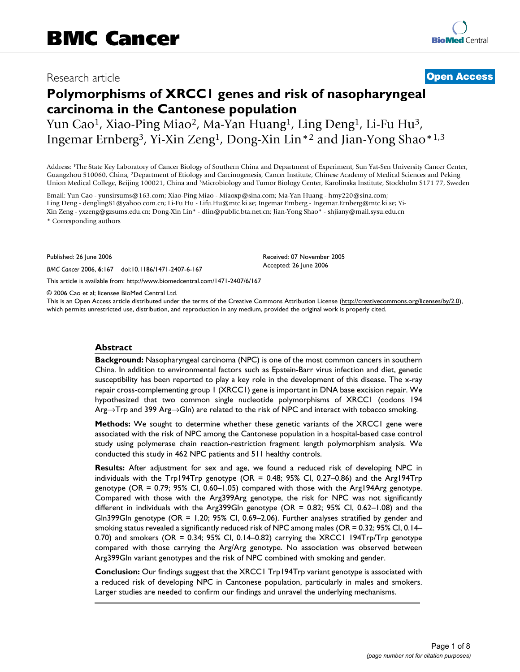## Research article **[Open Access](http://www.biomedcentral.com/info/about/charter/)**

# **Polymorphisms of XRCC1 genes and risk of nasopharyngeal carcinoma in the Cantonese population**

Yun Cao<sup>1</sup>, Xiao-Ping Miao<sup>2</sup>, Ma-Yan Huang<sup>1</sup>, Ling Deng<sup>1</sup>, Li-Fu Hu<sup>3</sup>, Ingemar Ernberg3, Yi-Xin Zeng1, Dong-Xin Lin\*2 and Jian-Yong Shao\*1,3

Address: 1The State Key Laboratory of Cancer Biology of Southern China and Department of Experiment, Sun Yat-Sen University Cancer Center, Guangzhou 510060, China, 2Department of Etiology and Carcinogenesis, Cancer Institute, Chinese Academy of Medical Sciences and Peking Union Medical College, Beijing 100021, China and 3Microbiology and Tumor Biology Center, Karolinska Institute, Stockholm S171 77, Sweden

Email: Yun Cao - yunsirsums@163.com; Xiao-Ping Miao - Miaoxp@sina.com; Ma-Yan Huang - hmy220@sina.com; Ling Deng - dengling81@yahoo.com.cn; Li-Fu Hu - Lifu.Hu@mtc.ki.se; Ingemar Ernberg - Ingemar.Ernberg@mtc.ki.se; Yi-Xin Zeng - yxzeng@gzsums.edu.cn; Dong-Xin Lin\* - dlin@public.bta.net.cn; Jian-Yong Shao\* - shjiany@mail.sysu.edu.cn

\* Corresponding authors

Published: 26 June 2006

*BMC Cancer* 2006, **6**:167 doi:10.1186/1471-2407-6-167

[This article is available from: http://www.biomedcentral.com/1471-2407/6/167](http://www.biomedcentral.com/1471-2407/6/167)

© 2006 Cao et al; licensee BioMed Central Ltd.

This is an Open Access article distributed under the terms of the Creative Commons Attribution License [\(http://creativecommons.org/licenses/by/2.0\)](http://creativecommons.org/licenses/by/2.0), which permits unrestricted use, distribution, and reproduction in any medium, provided the original work is properly cited.

Received: 07 November 2005 Accepted: 26 June 2006

#### **Abstract**

**Background:** Nasopharyngeal carcinoma (NPC) is one of the most common cancers in southern China. In addition to environmental factors such as Epstein-Barr virus infection and diet, genetic susceptibility has been reported to play a key role in the development of this disease. The x-ray repair cross-complementing group 1 (XRCC1) gene is important in DNA base excision repair. We hypothesized that two common single nucleotide polymorphisms of XRCC1 (codons 194 Arg→Trp and 399 Arg→Gln) are related to the risk of NPC and interact with tobacco smoking.

**Methods:** We sought to determine whether these genetic variants of the XRCC1 gene were associated with the risk of NPC among the Cantonese population in a hospital-based case control study using polymerase chain reaction-restriction fragment length polymorphism analysis. We conducted this study in 462 NPC patients and 511 healthy controls.

**Results:** After adjustment for sex and age, we found a reduced risk of developing NPC in individuals with the Trp194Trp genotype (OR = 0.48; 95% CI, 0.27–0.86) and the Arg194Trp genotype (OR = 0.79; 95% CI, 0.60–1.05) compared with those with the Arg194Arg genotype. Compared with those with the Arg399Arg genotype, the risk for NPC was not significantly different in individuals with the Arg399Gln genotype (OR = 0.82; 95% CI, 0.62–1.08) and the Gln399Gln genotype (OR = 1.20; 95% CI, 0.69–2.06). Further analyses stratified by gender and smoking status revealed a significantly reduced risk of NPC among males (OR = 0.32; 95% CI, 0.14– 0.70) and smokers (OR = 0.34; 95% CI, 0.14–0.82) carrying the XRCC1 194Trp/Trp genotype compared with those carrying the Arg/Arg genotype. No association was observed between Arg399Gln variant genotypes and the risk of NPC combined with smoking and gender.

**Conclusion:** Our findings suggest that the XRCC1 Trp194Trp variant genotype is associated with a reduced risk of developing NPC in Cantonese population, particularly in males and smokers. Larger studies are needed to confirm our findings and unravel the underlying mechanisms.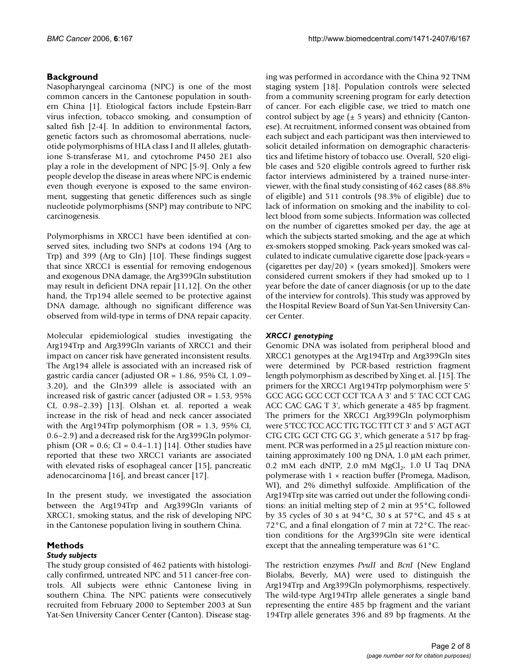### **Background**

Nasopharyngeal carcinoma (NPC) is one of the most common cancers in the Cantonese population in southern China [1]. Etiological factors include Epstein-Barr virus infection, tobacco smoking, and consumption of salted fish [2-4]. In addition to environmental factors, genetic factors such as chromosomal aberrations, nucleotide polymorphisms of HLA class I and II alleles, glutathione S-transferase M1, and cytochrome P450 2E1 also play a role in the development of NPC [5-9]. Only a few people develop the disease in areas where NPC is endemic even though everyone is exposed to the same environment, suggesting that genetic differences such as single nucleotide polymorphisms (SNP) may contribute to NPC carcinogenesis.

Polymorphisms in XRCC1 have been identified at conserved sites, including two SNPs at codons 194 (Arg to Trp) and 399 (Arg to Gln) [10]. These findings suggest that since XRCC1 is essential for removing endogenous and exogenous DNA damage, the Arg399Gln substitution may result in deficient DNA repair [11,12]. On the other hand, the Trp194 allele seemed to be protective against DNA damage, although no significant difference was observed from wild-type in terms of DNA repair capacity.

Molecular epidemiological studies investigating the Arg194Trp and Arg399Gln variants of XRCC1 and their impact on cancer risk have generated inconsistent results. The Arg194 allele is associated with an increased risk of gastric cardia cancer (adjusted OR = 1.86, 95% CI, 1.09– 3.20), and the Gln399 allele is associated with an increased risk of gastric cancer (adjusted OR = 1.53, 95% CI, 0.98–2.39) [13]. Olshan et. al. reported a weak increase in the risk of head and neck cancer associated with the Arg194Trp polymorphism ( $OR = 1.3$ , 95% CI, 0.6–2.9) and a decreased risk for the Arg399Gln polymorphism (OR =  $0.6$ ; CI =  $0.4-1.1$ ) [14]. Other studies have reported that these two XRCC1 variants are associated with elevated risks of esophageal cancer [15], pancreatic adenocarcinoma [16], and breast cancer [17].

In the present study, we investigated the association between the Arg194Trp and Arg399Gln variants of XRCC1, smoking status, and the risk of developing NPC in the Cantonese population living in southern China.

#### **Methods** *Study subjects*

The study group consisted of 462 patients with histologically confirmed, untreated NPC and 511 cancer-free controls. All subjects were ethnic Cantonese living in southern China. The NPC patients were consecutively recruited from February 2000 to September 2003 at Sun Yat-Sen University Cancer Center (Canton). Disease staging was performed in accordance with the China 92 TNM staging system [18]. Population controls were selected from a community screening program for early detection of cancer. For each eligible case, we tried to match one control subject by age  $(\pm 5 \text{ years})$  and ethnicity (Cantonese). At recruitment, informed consent was obtained from each subject and each participant was then interviewed to solicit detailed information on demographic characteristics and lifetime history of tobacco use. Overall, 520 eligible cases and 520 eligible controls agreed to further risk factor interviews administered by a trained nurse-interviewer, with the final study consisting of 462 cases (88.8% of eligible) and 511 controls (98.3% of eligible) due to lack of information on smoking and the inability to collect blood from some subjects. Information was collected on the number of cigarettes smoked per day, the age at which the subjects started smoking, and the age at which ex-smokers stopped smoking. Pack-years smoked was calculated to indicate cumulative cigarette dose [pack-years = (cigarettes per day/20)  $\times$  (years smoked)]. Smokers were considered current smokers if they had smoked up to 1 year before the date of cancer diagnosis (or up to the date of the interview for controls). This study was approved by the Hospital Review Board of Sun Yat-Sen University Cancer Center.

#### *XRCC1 genotyping*

Genomic DNA was isolated from peripheral blood and XRCC1 genotypes at the Arg194Trp and Arg399Gln sites were determined by PCR-based restriction fragment length polymorphism as described by Xing et. al. [15]. The primers for the XRCC1 Arg194Trp polymorphism were 5' GCC AGG GCC CCT CCT TCA A 3' and 5' TAC CCT CAG ACC CAC GAG T 3', which generate a 485 bp fragment. The primers for the XRCC1 Arg399Gln polymorphism were 5'TCC TCC ACC TTG TGC TTT CT 3' and 5' AGT AGT CTG CTG GCT CTG GG 3', which generate a 517 bp fragment. PCR was performed in a 25 μl reaction mixture containing approximately 100 ng DNA, 1.0 μM each primer, 0.2 mM each dNTP, 2.0 mM  $MgCl<sub>2</sub>$ , 1.0 U Taq DNA polymerase with  $1 \times$  reaction buffer (Promega, Madison, WI), and 2% dimethyl sulfoxide. Amplification of the Arg194Trp site was carried out under the following conditions: an initial melting step of 2 min at 95°C, followed by 35 cycles of 30 s at 94°C, 30 s at 57°C, and 45 s at 72°C, and a final elongation of 7 min at 72°C. The reaction conditions for the Arg399Gln site were identical except that the annealing temperature was 61°C.

The restriction enzymes *PvuII* and *BcnI* (New England Biolabs, Beverly, MA) were used to distinguish the Arg194Trp and Arg399Gln polymorphisms, respectively. The wild-type Arg194Trp allele generates a single band representing the entire 485 bp fragment and the variant 194Trp allele generates 396 and 89 bp fragments. At the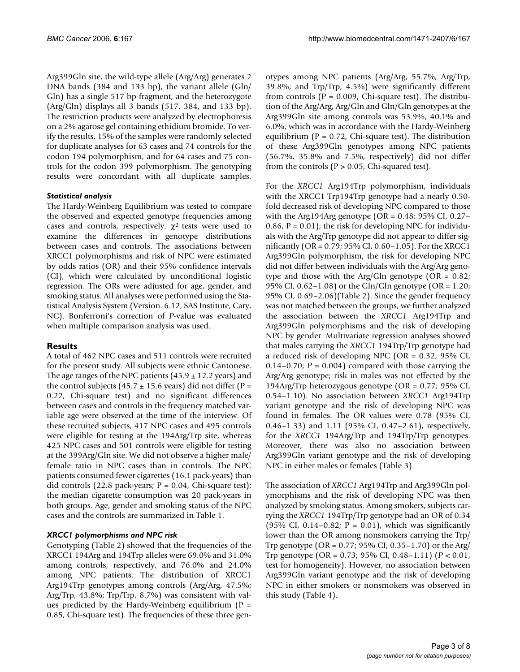Arg399Gln site, the wild-type allele (Arg/Arg) generates 2 DNA bands (384 and 133 bp), the variant allele (Gln/ Gln) has a single 517 bp fragment, and the heterozygote (Arg/Gln) displays all 3 bands (517, 384, and 133 bp). The restriction products were analyzed by electrophoresis on a 2% agarose gel containing ethidium bromide. To verify the results, 15% of the samples were randomly selected for duplicate analyses for 63 cases and 74 controls for the codon 194 polymorphism, and for 64 cases and 75 controls for the codon 399 polymorphism. The genotyping results were concordant with all duplicate samples.

#### *Statistical analysis*

The Hardy-Weinberg Equilibrium was tested to compare the observed and expected genotype frequencies among cases and controls, respectively.  $\chi^2$  tests were used to examine the differences in genotype distributions between cases and controls. The associations between XRCC1 polymorphisms and risk of NPC were estimated by odds ratios (OR) and their 95% confidence intervals (CI), which were calculated by unconditional logistic regression. The ORs were adjusted for age, gender, and smoking status. All analyses were performed using the Statistical Analysis System (Version. 6.12, SAS Institute, Cary, NC). Bonferroni's correction of *P*-value was evaluated when multiple comparison analysis was used.

#### **Results**

A total of 462 NPC cases and 511 controls were recruited for the present study. All subjects were ethnic Cantonese. The age ranges of the NPC patients  $(45.9 \pm 12.2 \text{ years})$  and the control subjects (45.7  $\pm$  15.6 years) did not differ (P = 0.22, Chi-square test) and no significant differences between cases and controls in the frequency matched variable age were observed at the time of the interview. Of these recruited subjects, 417 NPC cases and 495 controls were eligible for testing at the 194Arg/Trp site, whereas 425 NPC cases and 501 controls were eligible for testing at the 399Arg/Gln site. We did not observe a higher male/ female ratio in NPC cases than in controls. The NPC patients consumed fewer cigarettes (16.1 pack-years) than did controls (22.8 pack-years;  $P = 0.04$ , Chi-square test); the median cigarette consumption was 20 pack-years in both groups. Age, gender and smoking status of the NPC cases and the controls are summarized in Table 1.

#### *XRCC1 polymorphisms and NPC risk*

Genotyping (Table 2) showed that the frequencies of the XRCC1 194Arg and 194Trp alleles were 69.0% and 31.0% among controls, respectively, and 76.0% and 24.0% among NPC patients. The distribution of XRCC1 Arg194Trp genotypes among controls (Arg/Arg, 47.5%; Arg/Trp, 43.8%; Trp/Trp, 8.7%) was consistent with values predicted by the Hardy-Weinberg equilibrium ( $P =$ 0.85, Chi-square test). The frequencies of these three genotypes among NPC patients (Arg/Arg, 55.7%; Arg/Trp, 39.8%; and Trp/Trp, 4.5%) were significantly different from controls ( $P = 0.009$ , Chi-square test). The distribution of the Arg/Arg, Arg/Gln and Gln/Gln genotypes at the Arg399Gln site among controls was 53.9%, 40.1% and 6.0%, which was in accordance with the Hardy-Weinberg equilibrium ( $P = 0.72$ , Chi-square test). The distribution of these Arg399Gln genotypes among NPC patients (56.7%, 35.8% and 7.5%, respectively) did not differ from the controls ( $P > 0.05$ , Chi-squared test).

For the *XRCC1* Arg194Trp polymorphism, individuals with the XRCC1 Trp194Trp genotype had a nearly 0.50 fold decreased risk of developing NPC compared to those with the Arg194Arg genotype (OR =  $0.48$ ; 95% CI, 0.27– 0.86,  $P = 0.01$ ); the risk for developing NPC for individuals with the Arg/Trp genotype did not appear to differ significantly (OR = 0.79; 95% CI, 0.60–1.05). For the XRCC1 Arg399Gln polymorphism, the risk for developing NPC did not differ between individuals with the Arg/Arg genotype and those with the Arg/Gln genotype ( $OR = 0.82$ ; 95% CI, 0.62–1.08) or the Gln/Gln genotype (OR = 1.20; 95% CI, 0.69–2.06)(Table 2). Since the gender frequency was not matched between the groups, we further analyzed the association between the *XRCC1* Arg194Trp and Arg399Gln polymorphisms and the risk of developing NPC by gender. Multivariate regression analyses showed that males carrying the *XRCC1* 194Trp/Trp genotype had a reduced risk of developing NPC (OR = 0.32; 95% CI, 0.14–0.70;  $P = 0.004$  compared with those carrying the Arg/Arg genotype; risk in males was not effected by the 194Arg/Trp heterozygous genotype (OR = 0.77; 95% CI, 0.54–1.10). No association between *XRCC1* Arg194Trp variant genotype and the risk of developing NPC was found in females. The OR values were 0.78 (95% CI, 0.46–1.33) and 1.11 (95% CI, 0.47–2.61), respectively, for the *XRCC1* 194Arg/Trp and 194Trp/Trp genotypes. Moreover, there was also no association between Arg399Gln variant genotype and the risk of developing NPC in either males or females (Table 3).

The association of *XRCC1* Arg194Trp and Arg399Gln polymorphisms and the risk of developing NPC was then analyzed by smoking status. Among smokers, subjects carrying the *XRCC1* 194Trp/Trp genotype had an OR of 0.34 (95% CI, 0.14–0.82;  $P = 0.01$ ), which was significantly lower than the OR among nonsmokers carrying the Trp/ Trp genotype (OR = 0.77; 95% CI, 0.35–1.70) or the Arg/ Trp genotype (OR = 0.73; 95% CI, 0.48–1.11) (*P* < 0.01, test for homogeneity). However, no association between Arg399Gln variant genotype and the risk of developing NPC in either smokers or nonsmokers was observed in this study (Table 4).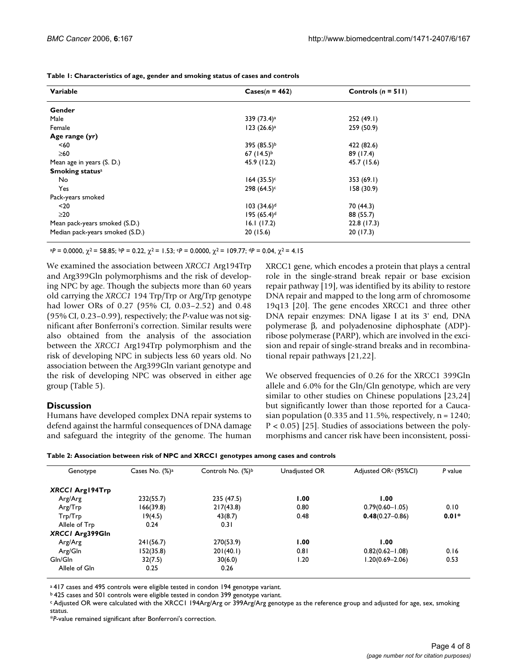**Table 1: Characteristics of age, gender and smoking status of cases and controls**

| Variable                        | $\text{Cases}(n = 462)$   | Controls $(n = 511)$ |
|---------------------------------|---------------------------|----------------------|
| Gender                          |                           |                      |
| Male                            | 339 (73.4) <sup>a</sup>   | 252(49.1)            |
| Female                          | 123(26.6) <sup>a</sup>    | 259 (50.9)           |
| Age range (yr)                  |                           |                      |
| < 60                            | 395 (85.5)b               | 422 (82.6)           |
| $\geq 60$                       | 67 $(14.5)^{b}$           | 89 (17.4)            |
| Mean age in years (S. D.)       | 45.9 (12.2)               | 45.7 (15.6)          |
| <b>Smoking statusa</b>          |                           |                      |
| No                              | $164 (35.5)^c$            | 353(69.1)            |
| Yes                             | $298 (64.5)^c$            | 158(30.9)            |
| Pack-years smoked               |                           |                      |
| $20$                            | $103 (34.6)^d$            | 70 (44.3)            |
| $\geq$ 20                       | $195 (65.4)$ <sup>d</sup> | 88 (55.7)            |
| Mean pack-years smoked (S.D.)   | 16.1(17.2)                | 22.8(17.3)           |
| Median pack-years smoked (S.D.) | 20(15.6)                  | 20(17.3)             |

 $aP = 0.0000$ ,  $\chi^2 = 58.85$ ;  $bP = 0.22$ ,  $\chi^2 = 1.53$ ;  $cP = 0.0000$ ,  $\chi^2 = 109.77$ ;  $dP = 0.04$ ,  $\chi^2 = 4.15$ 

We examined the association between *XRCC1* Arg194Trp and Arg399Gln polymorphisms and the risk of developing NPC by age. Though the subjects more than 60 years old carrying the *XRCC1* 194 Trp/Trp or Arg/Trp genotype had lower ORs of 0.27 (95% CI, 0.03–2.52) and 0.48 (95% CI, 0.23–0.99), respectively; the *P*-value was not significant after Bonferroni's correction. Similar results were also obtained from the analysis of the association between the *XRCC1* Arg194Trp polymorphism and the risk of developing NPC in subjects less 60 years old. No association between the Arg399Gln variant genotype and the risk of developing NPC was observed in either age group (Table 5).

#### **Discussion**

Humans have developed complex DNA repair systems to defend against the harmful consequences of DNA damage and safeguard the integrity of the genome. The human

XRCC1 gene, which encodes a protein that plays a central role in the single-strand break repair or base excision repair pathway [19], was identified by its ability to restore DNA repair and mapped to the long arm of chromosome 19q13 [20]. The gene encodes XRCC1 and three other DNA repair enzymes: DNA ligase I at its 3' end, DNA polymerase β, and polyadenosine diphosphate (ADP) ribose polymerase (PARP), which are involved in the excision and repair of single-strand breaks and in recombinational repair pathways [21,22].

We observed frequencies of 0.26 for the XRCC1 399Gln allele and 6.0% for the Gln/Gln genotype, which are very similar to other studies on Chinese populations [23,24] but significantly lower than those reported for a Caucasian population (0.335 and 11.5%, respectively,  $n = 1240$ ; P < 0.05) [25]. Studies of associations between the polymorphisms and cancer risk have been inconsistent, possi-

| Table 2: Association between risk of NPC and XRCCI genotypes among cases and controls |  |  |  |
|---------------------------------------------------------------------------------------|--|--|--|
|---------------------------------------------------------------------------------------|--|--|--|

| Genotype               | Cases No. $(\%)^a$ | Controls No. (%) <sup>b</sup> | Unadjusted OR | Adjusted OR <sup>c</sup> (95%Cl) | P value |
|------------------------|--------------------|-------------------------------|---------------|----------------------------------|---------|
| <b>XRCCI Arg194Trp</b> |                    |                               |               |                                  |         |
| Arg/Arg                | 232(55.7)          | 235 (47.5)                    | 1.00          | 1.00                             |         |
| Arg/Trp                | 166(39.8)          | 217(43.8)                     | 0.80          | $0.79(0.60 - 1.05)$              | 0.10    |
| Trp/Trp                | 19(4.5)            | 43(8.7)                       | 0.48          | $0.48(0.27 - 0.86)$              | $0.01*$ |
| Allele of Trp          | 0.24               | 0.31                          |               |                                  |         |
| XRCCI Arg399Gln        |                    |                               |               |                                  |         |
| Arg/Arg                | 241(56.7)          | 270(53.9)                     | 1.00          | 1.00                             |         |
| Arg/Gln                | 152(35.8)          | 201(40.1)                     | 0.81          | $0.82(0.62 - 1.08)$              | 0.16    |
| Gln/Gln                | 32(7.5)            | 30(6.0)                       | 1.20          | 1.20(0.69-2.06)                  | 0.53    |
| Allele of Gln          | 0.25               | 0.26                          |               |                                  |         |

a 417 cases and 495 controls were eligible tested in condon 194 genotype variant.

b 425 cases and 501 controls were eligible tested in condon 399 genotype variant.

c Adjusted OR were calculated with the XRCC1 194Arg/Arg or 399Arg/Arg genotype as the reference group and adjusted for age, sex, smoking status.

\**P*-value remained significant after Bonferroni's correction.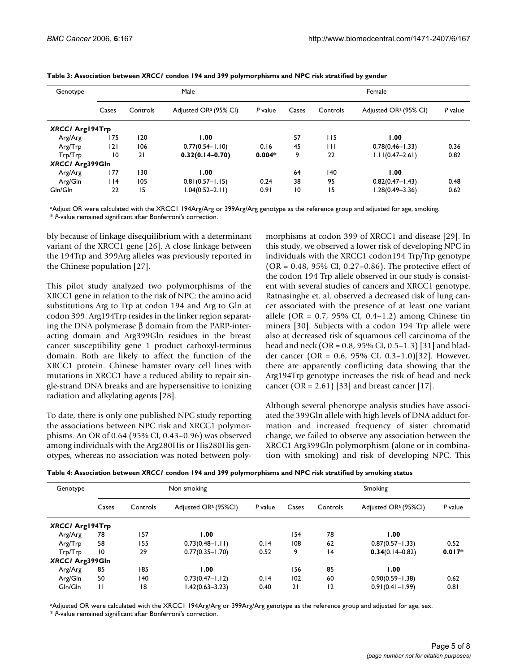| Genotype               |                 |          | Male                              | Female   |       |          |                                   |         |  |
|------------------------|-----------------|----------|-----------------------------------|----------|-------|----------|-----------------------------------|---------|--|
|                        | Cases           | Controls | Adjusted OR <sup>a</sup> (95% CI) | P value  | Cases | Controls | Adjusted OR <sup>a</sup> (95% CI) | P value |  |
| <b>XRCCI Arg194Trp</b> |                 |          |                                   |          |       |          |                                   |         |  |
| Arg/Arg                | 175             | 120      | 1.00                              |          | 57    | 115      | 1.00                              |         |  |
| Arg/Trp                | 2               | 106      | $0.77(0.54 - 1.10)$               | 0.16     | 45    | Ш        | $0.78(0.46 - 1.33)$               | 0.36    |  |
| Trp/Trp                | $\overline{10}$ | 21       | $0.32(0.14 - 0.70)$               | $0.004*$ | 9     | 22       | $1.11(0.47 - 2.61)$               | 0.82    |  |
| XRCCI Arg399Gln        |                 |          |                                   |          |       |          |                                   |         |  |
| Arg/Arg                | 177             | 130      | 1.00                              |          | 64    | 140      | 1.00                              |         |  |
| Arg/Gln                | 114             | 105      | $0.81(0.57 - 1.15)$               | 0.24     | 38    | 95       | $0.82(0.47 - 1.43)$               | 0.48    |  |
| Gln/Gln                | 22              | 15       | $1.04(0.52 - 2.11)$               | 0.91     | 10    | 15       | 1.28(0.49-3.36)                   | 0.62    |  |

aAdjust OR were calculated with the XRCC1 194Arg/Arg or 399Arg/Arg genotype as the reference group and adjusted for age, smoking. \* *P*-value remained significant after Bonferroni's correction.

bly because of linkage disequilibrium with a determinant variant of the XRCC1 gene [26]. A close linkage between the 194Trp and 399Arg alleles was previously reported in the Chinese population [27].

This pilot study analyzed two polymorphisms of the XRCC1 gene in relation to the risk of NPC: the amino acid substitutions Arg to Trp at codon 194 and Arg to Gln at codon 399. Arg194Trp resides in the linker region separating the DNA polymerase β domain from the PARP-interacting domain and Arg399Gln residues in the breast cancer susceptibility gene 1 product carboxyl-terminus domain. Both are likely to affect the function of the XRCC1 protein. Chinese hamster ovary cell lines with mutations in XRCC1 have a reduced ability to repair single-strand DNA breaks and are hypersensitive to ionizing radiation and alkylating agents [28].

To date, there is only one published NPC study reporting the associations between NPC risk and XRCC1 polymorphisms. An OR of 0.64 (95% CI, 0.43–0.96) was observed among individuals with the Arg280His or His280His genotypes, whereas no association was noted between polymorphisms at codon 399 of XRCC1 and disease [29]. In this study, we observed a lower risk of developing NPC in individuals with the XRCC1 codon194 Trp/Trp genotype (OR = 0.48, 95% CI, 0.27–0.86). The protective effect of the codon 194 Trp allele observed in our study is consistent with several studies of cancers and XRCC1 genotype. Ratnasinghe et. al. observed a decreased risk of lung cancer associated with the presence of at least one variant allele (OR = 0.7, 95% CI, 0.4–1.2) among Chinese tin miners [30]. Subjects with a codon 194 Trp allele were also at decreased risk of squamous cell carcinoma of the head and neck (OR = 0.8, 95% CI, 0.5–1.3) [31] and bladder cancer (OR = 0.6, 95% CI, 0.3–1.0)[32]. However, there are apparently conflicting data showing that the Arg194Trp genotype increases the risk of head and neck cancer (OR = 2.61) [33] and breast cancer [17].

Although several phenotype analysis studies have associated the 399Gln allele with high levels of DNA adduct formation and increased frequency of sister chromatid change, we failed to observe any association between the XRCC1 Arg399Gln polymorphism (alone or in combination with smoking) and risk of developing NPC. This

| Genotype               |              |          | Non smoking                      |         |       |          | Smoking                          |          |
|------------------------|--------------|----------|----------------------------------|---------|-------|----------|----------------------------------|----------|
|                        | Cases        | Controls | Adjusted OR <sup>a</sup> (95%Cl) | P value | Cases | Controls | Adjusted OR <sup>a</sup> (95%CI) | P value  |
| <b>XRCCI Arg194Trp</b> |              |          |                                  |         |       |          |                                  |          |
| Arg/Arg                | 78           | 157      | 1.00                             |         | 154   | 78       | 1.00                             |          |
| Arg/Trp                | 58           | 155      | $0.73(0.48 - 1.11)$              | 0.14    | 108   | 62       | $0.87(0.57 - 1.33)$              | 0.52     |
| Trp/Trp                | 10           | 29       | $0.77(0.35 - 1.70)$              | 0.52    | 9     | 4        | $0.34(0.14 - 0.82)$              | $0.017*$ |
| XRCCI Arg399Gln        |              |          |                                  |         |       |          |                                  |          |
| Arg/Arg                | 85           | 185      | 1.00                             |         | 156   | 85       | 00.1                             |          |
| Arg/Gln                | 50           | 140      | $0.73(0.47 - 1.12)$              | 0.14    | 102   | 60       | $0.90(0.59 - 1.38)$              | 0.62     |
| Gln/Gln                | $\mathbf{H}$ | 18       | 1.42(0.63–3.23)                  | 0.40    | 21    | 12       | $0.91(0.41 - 1.99)$              | 0.81     |

aAdjusted OR were calculated with the XRCC1 194Arg/Arg or 399Arg/Arg genotype as the reference group and adjusted for age, sex. \* *P*-value remained significant after Bonferroni's correction.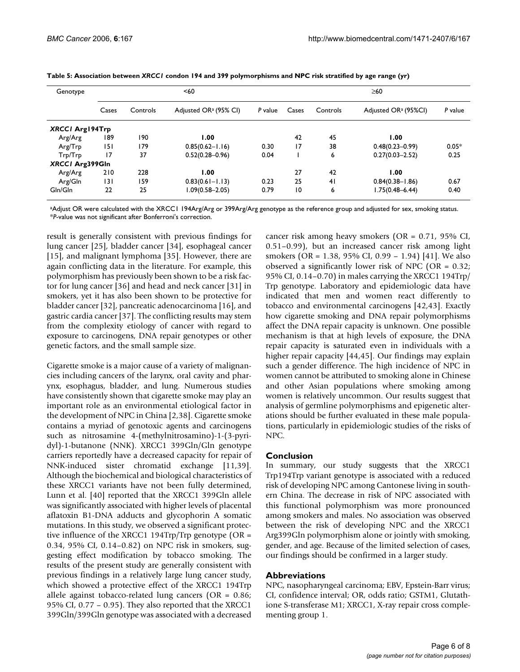| Genotype               |       |          | $60$                              |         | $\geq 60$ |          |                                  |         |  |
|------------------------|-------|----------|-----------------------------------|---------|-----------|----------|----------------------------------|---------|--|
|                        | Cases | Controls | Adjusted OR <sup>a</sup> (95% CI) | P value | Cases     | Controls | Adjusted OR <sup>a</sup> (95%CI) | P value |  |
| <b>XRCCI Arg194Trp</b> |       |          |                                   |         |           |          |                                  |         |  |
| Arg/Arg                | 189   | 190      | 00. ا                             |         | 42        | 45       | 1.00                             |         |  |
| Arg/Trp                | 151   | 179      | $0.85(0.62 - 1.16)$               | 0.30    | 17        | 38       | $0.48(0.23 - 0.99)$              | $0.05*$ |  |
| Trp/Trp                | 17    | 37       | $0.52(0.28 - 0.96)$               | 0.04    |           | 6        | $0.27(0.03 - 2.52)$              | 0.25    |  |
| XRCCI Arg399Gln        |       |          |                                   |         |           |          |                                  |         |  |
| Arg/Arg                | 210   | 228      | 00. ا                             |         | 27        | 42       | 1.00                             |         |  |
| Arg/Gln                | 131   | 159      | $0.83(0.61 - 1.13)$               | 0.23    | 25        | 41       | $0.84(0.38 - 1.86)$              | 0.67    |  |
| Gln/Gln                | 22    | 25       | 1.09(0.58–2.05)                   | 0.79    | 10        | 6        | $1.75(0.48 - 6.44)$              | 0.40    |  |

| Table 5: Association between XRCCI condon 194 and 399 polymorphisms and NPC risk stratified by age range (yr) |  |  |  |
|---------------------------------------------------------------------------------------------------------------|--|--|--|
|---------------------------------------------------------------------------------------------------------------|--|--|--|

aAdjust OR were calculated with the XRCC1 194Arg/Arg or 399Arg/Arg genotype as the reference group and adjusted for sex, smoking status. \**P*-value was not significant after Bonferroni's correction.

result is generally consistent with previous findings for lung cancer [25], bladder cancer [34], esophageal cancer [15], and malignant lymphoma [35]. However, there are again conflicting data in the literature. For example, this polymorphism has previously been shown to be a risk factor for lung cancer [36] and head and neck cancer [31] in smokers, yet it has also been shown to be protective for bladder cancer [32], pancreatic adenocarcinoma [16], and gastric cardia cancer [37]. The conflicting results may stem from the complexity etiology of cancer with regard to exposure to carcinogens, DNA repair genotypes or other genetic factors, and the small sample size.

Cigarette smoke is a major cause of a variety of malignancies including cancers of the larynx, oral cavity and pharynx, esophagus, bladder, and lung. Numerous studies have consistently shown that cigarette smoke may play an important role as an environmental etiological factor in the development of NPC in China [2,38]. Cigarette smoke contains a myriad of genotoxic agents and carcinogens such as nitrosamine 4-(methylnitrosamino)-1-(3-pyridyl)-1-butanone (NNK). XRCC1 399Gln/Gln genotype carriers reportedly have a decreased capacity for repair of NNK-induced sister chromatid exchange [11,39]. Although the biochemical and biological characteristics of these XRCC1 variants have not been fully determined, Lunn et al. [40] reported that the XRCC1 399Gln allele was significantly associated with higher levels of placental aflatoxin B1-DNA adducts and glycophorin A somatic mutations. In this study, we observed a significant protective influence of the XRCC1 194Trp/Trp genotype ( $OR =$ 0.34, 95% CI, 0.14–0.82) on NPC risk in smokers, suggesting effect modification by tobacco smoking. The results of the present study are generally consistent with previous findings in a relatively large lung cancer study, which showed a protective effect of the XRCC1 194Trp allele against tobacco-related lung cancers ( $OR = 0.86$ ; 95% CI, 0.77 – 0.95). They also reported that the XRCC1 399Gln/399Gln genotype was associated with a decreased

cancer risk among heavy smokers (OR = 0.71, 95% CI, 0.51–0.99), but an increased cancer risk among light smokers (OR = 1.38, 95% CI, 0.99 – 1.94) [41]. We also observed a significantly lower risk of NPC (OR = 0.32; 95% CI, 0.14–0.70) in males carrying the XRCC1 194Trp/ Trp genotype. Laboratory and epidemiologic data have indicated that men and women react differently to tobacco and environmental carcinogens [42,43]. Exactly how cigarette smoking and DNA repair polymorphisms affect the DNA repair capacity is unknown. One possible mechanism is that at high levels of exposure, the DNA repair capacity is saturated even in individuals with a higher repair capacity [44,45]. Our findings may explain such a gender difference. The high incidence of NPC in women cannot be attributed to smoking alone in Chinese and other Asian populations where smoking among women is relatively uncommon. Our results suggest that analysis of germline polymorphisms and epigenetic alterations should be further evaluated in these male populations, particularly in epidemiologic studies of the risks of NPC.

#### **Conclusion**

In summary, our study suggests that the XRCC1 Trp194Trp variant genotype is associated with a reduced risk of developing NPC among Cantonese living in southern China. The decrease in risk of NPC associated with this functional polymorphism was more pronounced among smokers and males. No association was observed between the risk of developing NPC and the XRCC1 Arg399Gln polymorphism alone or jointly with smoking, gender, and age. Because of the limited selection of cases, our findings should be confirmed in a larger study.

#### **Abbreviations**

NPC, nasopharyngeal carcinoma; EBV, Epstein-Barr virus; CI, confidence interval; OR, odds ratio; GSTM1, Glutathione S-transferase M1; XRCC1, X-ray repair cross complementing group 1.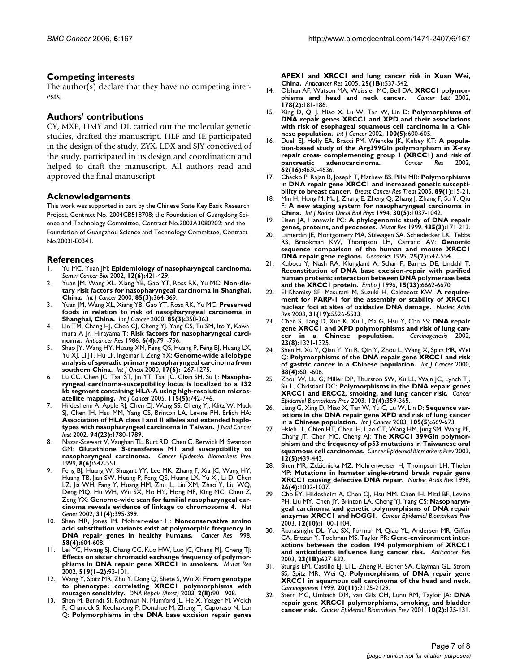#### **Competing interests**

The author(s) declare that they have no competing interests.

#### **Authors' contributions**

**C**Y, MXP, HMY and DL carried out the molecular genetic studies, drafted the manuscript. HLF and IE participated in the design of the study. ZYX, LDX and SJY conceived of the study, participated in its design and coordination and helped to draft the manuscript. All authors read and approved the final manuscript.

#### **Acknowledgements**

This work was supported in part by the Chinese State Key Basic Research Project, Contract No. 2004CB518708; the Foundation of Guangdong Science and Technology Committee, Contract No.2003A3080202; and the Foundation of Guangzhou Science and Technology Committee, Contract No.2003I-E0341.

#### **References**

- 1. Yu MC, Yuan JM: **[Epidemiology of nasopharyngeal carcinoma.](http://www.ncbi.nlm.nih.gov/entrez/query.fcgi?cmd=Retrieve&db=PubMed&dopt=Abstract&list_uids=12450728)** *Semin Cancer Biol* 2002, **12(6):**421-429.
- 2. Yuan JM, Wang XL, Xiang YB, Gao YT, Ross RK, Yu MC: **[Non-die](http://www.ncbi.nlm.nih.gov/entrez/query.fcgi?cmd=Retrieve&db=PubMed&dopt=Abstract&list_uids=10652428)[tary risk factors for nasopharyngeal carcinoma in Shanghai,](http://www.ncbi.nlm.nih.gov/entrez/query.fcgi?cmd=Retrieve&db=PubMed&dopt=Abstract&list_uids=10652428) [China.](http://www.ncbi.nlm.nih.gov/entrez/query.fcgi?cmd=Retrieve&db=PubMed&dopt=Abstract&list_uids=10652428)** *Int J Cancer* 2000, **85(3):**364-369.
- 3. Yuan JM, Wang XL, Xiang YB, Gao YT, Ross RK, Yu MC: **[Preserved](http://www.ncbi.nlm.nih.gov/entrez/query.fcgi?cmd=Retrieve&db=PubMed&dopt=Abstract&list_uids=10652427) [foods in relation to risk of nasopharyngeal carcinoma in](http://www.ncbi.nlm.nih.gov/entrez/query.fcgi?cmd=Retrieve&db=PubMed&dopt=Abstract&list_uids=10652427) [Shanghai, China.](http://www.ncbi.nlm.nih.gov/entrez/query.fcgi?cmd=Retrieve&db=PubMed&dopt=Abstract&list_uids=10652427)** *Int J Cancer* 2000, **85(3):**358-363.
- Lin TM, Chang HJ, Chen CJ, Cheng YJ, Yang CS, Tu SM, Ito Y, Kawamura A Jr, Hirayama T: **[Risk factors for nasopharyngeal carci](http://www.ncbi.nlm.nih.gov/entrez/query.fcgi?cmd=Retrieve&db=PubMed&dopt=Abstract&list_uids=3752958)[noma.](http://www.ncbi.nlm.nih.gov/entrez/query.fcgi?cmd=Retrieve&db=PubMed&dopt=Abstract&list_uids=3752958)** *Anticancer Res* 1986, **6(4):**791-796.
- 5. Shao JY, Wang HY, Huang XM, Feng QS, Huang P, Feng BJ, Huang LX, Yu XJ, Li JT, Hu LF, Ingemar I, Zeng YX: **[Genome-wide allelotype](http://www.ncbi.nlm.nih.gov/entrez/query.fcgi?cmd=Retrieve&db=PubMed&dopt=Abstract&list_uids=11078815) [analysis of sporadic primary nasopharyngeal carcinoma from](http://www.ncbi.nlm.nih.gov/entrez/query.fcgi?cmd=Retrieve&db=PubMed&dopt=Abstract&list_uids=11078815) [southern China.](http://www.ncbi.nlm.nih.gov/entrez/query.fcgi?cmd=Retrieve&db=PubMed&dopt=Abstract&list_uids=11078815)** *Int J Oncol* 2000, **17(6):**1267-1275.
- 6. Lu CC, Chen JC, Tsai ST, Jin YT, Tsai JC, Chan SH, Su IJ: **[Nasopha](http://www.ncbi.nlm.nih.gov/entrez/query.fcgi?cmd=Retrieve&db=PubMed&dopt=Abstract&list_uids=15729690)[ryngeal carcinoma-susceptibility locus is localized to a 132](http://www.ncbi.nlm.nih.gov/entrez/query.fcgi?cmd=Retrieve&db=PubMed&dopt=Abstract&list_uids=15729690) kb segment containing HLA-A using high-resolution micros[atellite mapping.](http://www.ncbi.nlm.nih.gov/entrez/query.fcgi?cmd=Retrieve&db=PubMed&dopt=Abstract&list_uids=15729690)** *Int J Cancer* 2005, **115(5):**742-746.
- 7. Hildesheim A, Apple RJ, Chen CJ, Wang SS, Cheng YJ, Klitz W, Mack SJ, Chen IH, Hsu MM, Yang CS, Brinton LA, Levine PH, Erlich HA: **[Association of HLA class I and II alleles and extended haplo](http://www.ncbi.nlm.nih.gov/entrez/query.fcgi?cmd=Retrieve&db=PubMed&dopt=Abstract&list_uids=12464650)[types with nasopharyngeal carcinoma in Taiwan.](http://www.ncbi.nlm.nih.gov/entrez/query.fcgi?cmd=Retrieve&db=PubMed&dopt=Abstract&list_uids=12464650)** *J Natl Cancer Inst* 2002, **94(23):**1780-1789.
- Nazar-Stewart V, Vaughan TL, Burt RD, Chen C, Berwick M, Swanson GM: **[Glutathione S-transferase M1 and susceptibility to](http://www.ncbi.nlm.nih.gov/entrez/query.fcgi?cmd=Retrieve&db=PubMed&dopt=Abstract&list_uids=10385146) [nasopharyngeal carcinoma.](http://www.ncbi.nlm.nih.gov/entrez/query.fcgi?cmd=Retrieve&db=PubMed&dopt=Abstract&list_uids=10385146)** *Cancer Epidemiol Biomarkers Prev* 1999, **8(6):**547-551.
- 9. Feng BJ, Huang W, Shugart YY, Lee MK, Zhang F, Xia JC, Wang HY, Huang TB, Jian SW, Huang P, Feng QS, Huang LX, Yu XJ, Li D, Chen LZ, Jia WH, Fang Y, Huang HM, Zhu JL, Liu XM, Zhao Y, Liu WQ, Deng MQ, Hu WH, Wu SX, Mo HY, Hong MF, King MC, Chen Z, Zeng YX: **[Genome-wide scan for familial nasopharyngeal car](http://www.ncbi.nlm.nih.gov/entrez/query.fcgi?cmd=Retrieve&db=PubMed&dopt=Abstract&list_uids=12118254)[cinoma reveals evidence of linkage to chromosome 4.](http://www.ncbi.nlm.nih.gov/entrez/query.fcgi?cmd=Retrieve&db=PubMed&dopt=Abstract&list_uids=12118254)** *Nat Genet* 2002, **31(4):**395-399.
- 10. Shen MR, Jones IM, Mohrenweiser H: **[Nonconservative amino](http://www.ncbi.nlm.nih.gov/entrez/query.fcgi?cmd=Retrieve&db=PubMed&dopt=Abstract&list_uids=9485007) [acid substitution variants exist at polymorphic frequency in](http://www.ncbi.nlm.nih.gov/entrez/query.fcgi?cmd=Retrieve&db=PubMed&dopt=Abstract&list_uids=9485007) [DNA repair genes in healthy humans.](http://www.ncbi.nlm.nih.gov/entrez/query.fcgi?cmd=Retrieve&db=PubMed&dopt=Abstract&list_uids=9485007)** *Cancer Res* 1998, **58(4):**604-608.
- 11. Lei YC, Hwang SJ, Chang CC, Kuo HW, Luo JC, Chang MJ, Cheng TJ: **[Effects on sister chromatid exchange frequency of polymor](http://www.ncbi.nlm.nih.gov/entrez/query.fcgi?cmd=Retrieve&db=PubMed&dopt=Abstract&list_uids=12160895)[phisms in DNA repair gene XRCC1 in smokers.](http://www.ncbi.nlm.nih.gov/entrez/query.fcgi?cmd=Retrieve&db=PubMed&dopt=Abstract&list_uids=12160895)** *Mutat Res* 2002, **519(1–2):**93-101.
- 12. Wang Y, Spitz MR, Zhu Y, Dong Q, Shete S, Wu X: **[From genotype](http://www.ncbi.nlm.nih.gov/entrez/query.fcgi?cmd=Retrieve&db=PubMed&dopt=Abstract&list_uids=12893086) [to phenotype: correlating XRCC1 polymorphisms with](http://www.ncbi.nlm.nih.gov/entrez/query.fcgi?cmd=Retrieve&db=PubMed&dopt=Abstract&list_uids=12893086) [mutagen sensitivity.](http://www.ncbi.nlm.nih.gov/entrez/query.fcgi?cmd=Retrieve&db=PubMed&dopt=Abstract&list_uids=12893086)** *DNA Repair (Amst)* 2003, **2(8):**901-908.
- 13. Shen M, Berndt SI, Rothman N, Mumford JL, He X, Yeager M, Welch R, Chanock S, Keohavong P, Donahue M, Zheng T, Caporaso N, Lan Q: **[Polymorphisms in the DNA base excision repair genes](http://www.ncbi.nlm.nih.gov/entrez/query.fcgi?cmd=Retrieve&db=PubMed&dopt=Abstract&list_uids=15816625)**

**[APEX1 and XRCC1 and lung cancer risk in Xuan Wei,](http://www.ncbi.nlm.nih.gov/entrez/query.fcgi?cmd=Retrieve&db=PubMed&dopt=Abstract&list_uids=15816625) [China.](http://www.ncbi.nlm.nih.gov/entrez/query.fcgi?cmd=Retrieve&db=PubMed&dopt=Abstract&list_uids=15816625)** *Anticancer Res* 2005, **25(1B):**537-542.

- 14. Olshan AF, Watson MA, Weissler MC, Bell DA: **[XRCC1 polymor](http://www.ncbi.nlm.nih.gov/entrez/query.fcgi?cmd=Retrieve&db=PubMed&dopt=Abstract&list_uids=11867203)[phisms and head and neck cancer.](http://www.ncbi.nlm.nih.gov/entrez/query.fcgi?cmd=Retrieve&db=PubMed&dopt=Abstract&list_uids=11867203)** *Cancer Lett* 2002, **178(2):**181-186.
- 15. Xing D, Qi J, Miao X, Lu W, Tan W, Lin D: [Polymorphisms of](http://www.ncbi.nlm.nih.gov/entrez/query.fcgi?cmd=Retrieve&db=PubMed&dopt=Abstract&list_uids=12124811) **[DNA repair genes XRCC1 and XPD and their associations](http://www.ncbi.nlm.nih.gov/entrez/query.fcgi?cmd=Retrieve&db=PubMed&dopt=Abstract&list_uids=12124811) with risk of esophageal squamous cell carcinoma in a Chi[nese population.](http://www.ncbi.nlm.nih.gov/entrez/query.fcgi?cmd=Retrieve&db=PubMed&dopt=Abstract&list_uids=12124811)** *Int J Cancer* 2002, **100(5):**600-605.
- 16. Duell EJ, Holly EA, Bracci PM, Wiencke JK, Kelsey KT: **[A popula](http://www.ncbi.nlm.nih.gov/entrez/query.fcgi?cmd=Retrieve&db=PubMed&dopt=Abstract&list_uids=12183419)[tion-based study of the Arg399Gln polymorphism in X-ray](http://www.ncbi.nlm.nih.gov/entrez/query.fcgi?cmd=Retrieve&db=PubMed&dopt=Abstract&list_uids=12183419) repair cross- complementing group 1 (XRCC1) and risk of [pancreatic adenocarcinoma.](http://www.ncbi.nlm.nih.gov/entrez/query.fcgi?cmd=Retrieve&db=PubMed&dopt=Abstract&list_uids=12183419)** *Cancer Res* 2002, **62(16):**4630-4636.
- 17. Chacko P, Rajan B, Joseph T, Mathew BS, Pillai MR: **[Polymorphisms](http://www.ncbi.nlm.nih.gov/entrez/query.fcgi?cmd=Retrieve&db=PubMed&dopt=Abstract&list_uids=15666192) [in DNA repair gene XRCC1 and increased genetic suscepti](http://www.ncbi.nlm.nih.gov/entrez/query.fcgi?cmd=Retrieve&db=PubMed&dopt=Abstract&list_uids=15666192)[bility to breast cancer.](http://www.ncbi.nlm.nih.gov/entrez/query.fcgi?cmd=Retrieve&db=PubMed&dopt=Abstract&list_uids=15666192)** *Breast Cancer Res Treat* 2005, **89(1):**15-21.
- 18. Min H, Hong M, Ma J, Zhang E, Zheng Q, Zhang J, Zhang F, Su Y, Qiu F: **[A new staging system for nasopharyngeal carcinoma in](http://www.ncbi.nlm.nih.gov/entrez/query.fcgi?cmd=Retrieve&db=PubMed&dopt=Abstract&list_uids=7961009) [China.](http://www.ncbi.nlm.nih.gov/entrez/query.fcgi?cmd=Retrieve&db=PubMed&dopt=Abstract&list_uids=7961009)** *Int J Radiat Oncol Biol Phys* 1994, **30(5):**1037-1042.
- 19. Eisen JA, Hanawalt PC: **[A phylogenomic study of DNA repair](http://www.ncbi.nlm.nih.gov/entrez/query.fcgi?cmd=Retrieve&db=PubMed&dopt=Abstract&list_uids=10606811) [genes, proteins, and processes.](http://www.ncbi.nlm.nih.gov/entrez/query.fcgi?cmd=Retrieve&db=PubMed&dopt=Abstract&list_uids=10606811)** *Mutat Res* 1999, **435(3):**171-213.
- 20. Lamerdin JE, Montgomery MA, Stilwagen SA, Scheidecker LK, Tebbs RS, Brookman KW, Thompson LH, Carrano AV: **[Genomic](http://www.ncbi.nlm.nih.gov/entrez/query.fcgi?cmd=Retrieve&db=PubMed&dopt=Abstract&list_uids=7789989) [sequence comparison of the human and mouse XRCC1](http://www.ncbi.nlm.nih.gov/entrez/query.fcgi?cmd=Retrieve&db=PubMed&dopt=Abstract&list_uids=7789989) [DNA repair gene regions.](http://www.ncbi.nlm.nih.gov/entrez/query.fcgi?cmd=Retrieve&db=PubMed&dopt=Abstract&list_uids=7789989)** *Genomics* 1995, **25(2):**547-554.
- Kubota Y, Nash RA, Klungland A, Schar P, Barnes DE, Lindahl T: **[Reconstitution of DNA base excision-repair with purified](http://www.ncbi.nlm.nih.gov/entrez/query.fcgi?cmd=Retrieve&db=PubMed&dopt=Abstract&list_uids=8978692) human proteins: interaction between DNA polymerase beta [and the XRCC1 protein.](http://www.ncbi.nlm.nih.gov/entrez/query.fcgi?cmd=Retrieve&db=PubMed&dopt=Abstract&list_uids=8978692)** *Embo J* 1996, **15(23):**6662-6670.
- 22. El-Khamisy SF, Masutani M, Suzuki H, Caldecott KW: **[A require](http://www.ncbi.nlm.nih.gov/entrez/query.fcgi?cmd=Retrieve&db=PubMed&dopt=Abstract&list_uids=14500814)[ment for PARP-1 for the assembly or stability of XRCC1](http://www.ncbi.nlm.nih.gov/entrez/query.fcgi?cmd=Retrieve&db=PubMed&dopt=Abstract&list_uids=14500814) [nuclear foci at sites of oxidative DNA damage.](http://www.ncbi.nlm.nih.gov/entrez/query.fcgi?cmd=Retrieve&db=PubMed&dopt=Abstract&list_uids=14500814)** *Nucleic Acids Res* 2003, **31(19):**5526-5533.
- 23. Chen S, Tang D, Xue K, Xu L, Ma G, Hsu Y, Cho SS: **[DNA repair](http://www.ncbi.nlm.nih.gov/entrez/query.fcgi?cmd=Retrieve&db=PubMed&dopt=Abstract&list_uids=12151350) [gene XRCC1 and XPD polymorphisms and risk of lung can](http://www.ncbi.nlm.nih.gov/entrez/query.fcgi?cmd=Retrieve&db=PubMed&dopt=Abstract&list_uids=12151350)[cer in a Chinese population.](http://www.ncbi.nlm.nih.gov/entrez/query.fcgi?cmd=Retrieve&db=PubMed&dopt=Abstract&list_uids=12151350)** *Carcinogenesis* 2002, **23(8):**1321-1325.
- 24. Shen H, Xu Y, Qian Y, Yu R, Qin Y, Zhou L, Wang X, Spitz MR, Wei Q: **[Polymorphisms of the DNA repair gene XRCC1 and risk](http://www.ncbi.nlm.nih.gov/entrez/query.fcgi?cmd=Retrieve&db=PubMed&dopt=Abstract&list_uids=11058877) [of gastric cancer in a Chinese population.](http://www.ncbi.nlm.nih.gov/entrez/query.fcgi?cmd=Retrieve&db=PubMed&dopt=Abstract&list_uids=11058877)** *Int J Cancer* 2000, **88(4):**601-606.
- Zhou W, Liu G, Miller DP, Thurston SW, Xu LL, Wain JC, Lynch TJ, Su L, Christiani DC: **[Polymorphisms in the DNA repair genes](http://www.ncbi.nlm.nih.gov/entrez/query.fcgi?cmd=Retrieve&db=PubMed&dopt=Abstract&list_uids=12692111) [XRCC1 and ERCC2, smoking, and lung cancer risk.](http://www.ncbi.nlm.nih.gov/entrez/query.fcgi?cmd=Retrieve&db=PubMed&dopt=Abstract&list_uids=12692111)** *Cancer Epidemiol Biomarkers Prev* 2003, **12(4):**359-365.
- 26. Liang G, Xing D, Miao X, Tan W, Yu C, Lu W, Lin D: **[Sequence var](http://www.ncbi.nlm.nih.gov/entrez/query.fcgi?cmd=Retrieve&db=PubMed&dopt=Abstract&list_uids=12740916)[iations in the DNA repair gene XPD and risk of lung cancer](http://www.ncbi.nlm.nih.gov/entrez/query.fcgi?cmd=Retrieve&db=PubMed&dopt=Abstract&list_uids=12740916) [in a Chinese population.](http://www.ncbi.nlm.nih.gov/entrez/query.fcgi?cmd=Retrieve&db=PubMed&dopt=Abstract&list_uids=12740916)** *Int J Cancer* 2003, **105(5):**669-673.
- 27. Hsieh LL, Chien HT, Chen IH, Liao CT, Wang HM, Jung SM, Wang PF, Chang JT, Chen MC, Cheng AJ: **[The XRCC1 399Gln polymor](http://www.ncbi.nlm.nih.gov/entrez/query.fcgi?cmd=Retrieve&db=PubMed&dopt=Abstract&list_uids=12750239)[phism and the frequency of p53 mutations in Taiwanese oral](http://www.ncbi.nlm.nih.gov/entrez/query.fcgi?cmd=Retrieve&db=PubMed&dopt=Abstract&list_uids=12750239) [squamous cell carcinomas.](http://www.ncbi.nlm.nih.gov/entrez/query.fcgi?cmd=Retrieve&db=PubMed&dopt=Abstract&list_uids=12750239)** *Cancer Epidemiol Biomarkers Prev* 2003, **12(5):**439-443.
- 28. Shen MR, Zdzienicka MZ, Mohrenweiser H, Thompson LH, Thelen MP: **[Mutations in hamster single-strand break repair gene](http://www.ncbi.nlm.nih.gov/entrez/query.fcgi?cmd=Retrieve&db=PubMed&dopt=Abstract&list_uids=9461464) [XRCC1 causing defective DNA repair.](http://www.ncbi.nlm.nih.gov/entrez/query.fcgi?cmd=Retrieve&db=PubMed&dopt=Abstract&list_uids=9461464)** *Nucleic Acids Res* 1998, **26(4):**1032-1037.
- 29. Cho EY, Hildesheim A, Chen CJ, Hsu MM, Chen IH, Mittl BF, Levine PH, Liu MY, Chen JY, Brinton LA, Cheng YJ, Yang CS: **[Nasopharyn](http://www.ncbi.nlm.nih.gov/entrez/query.fcgi?cmd=Retrieve&db=PubMed&dopt=Abstract&list_uids=14578150)[geal carcinoma and genetic polymorphisms of DNA repair](http://www.ncbi.nlm.nih.gov/entrez/query.fcgi?cmd=Retrieve&db=PubMed&dopt=Abstract&list_uids=14578150) [enzymes XRCC1 and hOGG1.](http://www.ncbi.nlm.nih.gov/entrez/query.fcgi?cmd=Retrieve&db=PubMed&dopt=Abstract&list_uids=14578150)** *Cancer Epidemiol Biomarkers Prev* 2003, **12(10):**1100-1104.
- Ratnasinghe DL, Yao SX, Forman M, Qiao YL, Andersen MR, Giffen CA, Erozan Y, Tockman MS, Taylor PR: **[Gene-environment inter](http://www.ncbi.nlm.nih.gov/entrez/query.fcgi?cmd=Retrieve&db=PubMed&dopt=Abstract&list_uids=12680158)[actions between the codon 194 polymorphism of XRCC1](http://www.ncbi.nlm.nih.gov/entrez/query.fcgi?cmd=Retrieve&db=PubMed&dopt=Abstract&list_uids=12680158) [and antioxidants influence lung cancer risk.](http://www.ncbi.nlm.nih.gov/entrez/query.fcgi?cmd=Retrieve&db=PubMed&dopt=Abstract&list_uids=12680158)** *Anticancer Res* 2003, **23(1B):**627-632.
- 31. Sturgis EM, Castillo EJ, Li L, Zheng R, Eicher SA, Clayman GL, Strom SS, Spitz MR, Wei Q: **[Polymorphisms of DNA repair gene](http://www.ncbi.nlm.nih.gov/entrez/query.fcgi?cmd=Retrieve&db=PubMed&dopt=Abstract&list_uids=10545415) [XRCC1 in squamous cell carcinoma of the head and neck.](http://www.ncbi.nlm.nih.gov/entrez/query.fcgi?cmd=Retrieve&db=PubMed&dopt=Abstract&list_uids=10545415)** *Carcinogenesis* 1999, **20(11):**2125-2129.
- 32. Stern MC, Umbach DM, van Gils CH, Lunn RM, Taylor JA: **[DNA](http://www.ncbi.nlm.nih.gov/entrez/query.fcgi?cmd=Retrieve&db=PubMed&dopt=Abstract&list_uids=11219769) [repair gene XRCC1 polymorphisms, smoking, and bladder](http://www.ncbi.nlm.nih.gov/entrez/query.fcgi?cmd=Retrieve&db=PubMed&dopt=Abstract&list_uids=11219769) [cancer risk.](http://www.ncbi.nlm.nih.gov/entrez/query.fcgi?cmd=Retrieve&db=PubMed&dopt=Abstract&list_uids=11219769)** *Cancer Epidemiol Biomarkers Prev* 2001, **10(2):**125-131.